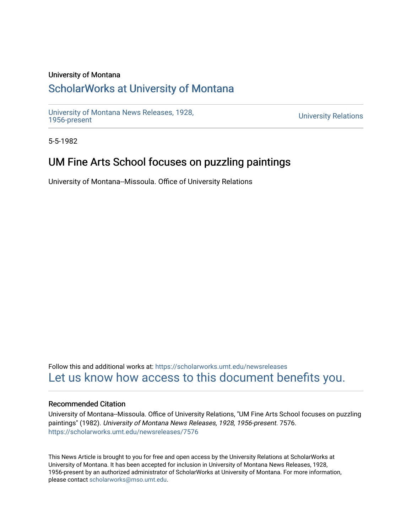## University of Montana

## [ScholarWorks at University of Montana](https://scholarworks.umt.edu/)

[University of Montana News Releases, 1928,](https://scholarworks.umt.edu/newsreleases) 

**University Relations** 

5-5-1982

## UM Fine Arts School focuses on puzzling paintings

University of Montana--Missoula. Office of University Relations

Follow this and additional works at: [https://scholarworks.umt.edu/newsreleases](https://scholarworks.umt.edu/newsreleases?utm_source=scholarworks.umt.edu%2Fnewsreleases%2F7576&utm_medium=PDF&utm_campaign=PDFCoverPages) [Let us know how access to this document benefits you.](https://goo.gl/forms/s2rGfXOLzz71qgsB2) 

## Recommended Citation

University of Montana--Missoula. Office of University Relations, "UM Fine Arts School focuses on puzzling paintings" (1982). University of Montana News Releases, 1928, 1956-present. 7576. [https://scholarworks.umt.edu/newsreleases/7576](https://scholarworks.umt.edu/newsreleases/7576?utm_source=scholarworks.umt.edu%2Fnewsreleases%2F7576&utm_medium=PDF&utm_campaign=PDFCoverPages) 

This News Article is brought to you for free and open access by the University Relations at ScholarWorks at University of Montana. It has been accepted for inclusion in University of Montana News Releases, 1928, 1956-present by an authorized administrator of ScholarWorks at University of Montana. For more information, please contact [scholarworks@mso.umt.edu.](mailto:scholarworks@mso.umt.edu)